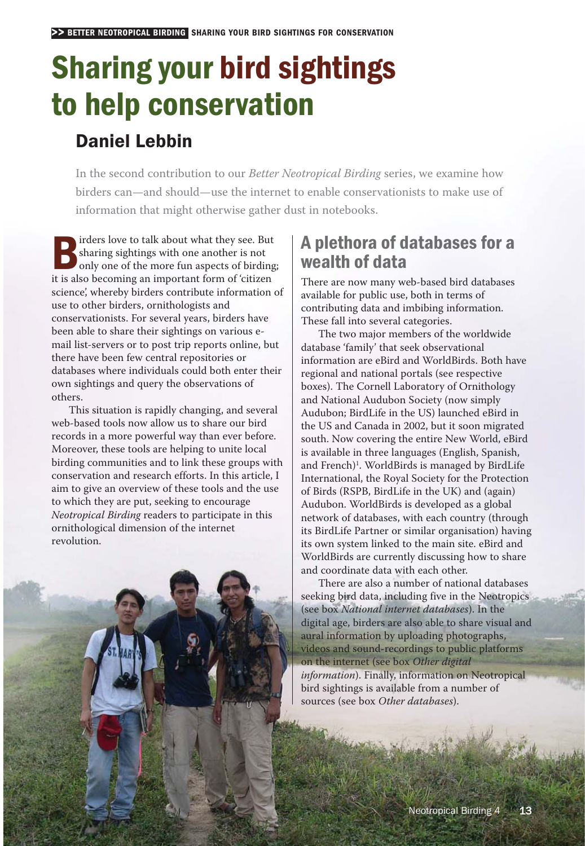# Sharing your bird sightings to help conservation

# Daniel Lebbin

In the second contribution to our *Better Neotropical Birding* series, we examine how birders can— and should— use the internet to enable conservationists to make use of information that might otherwise gather dust in notebooks.

**Example 15**<br> **only one of the more fun aspects of birding;**<br>
it is also becoming an important form of sitizer sharing sightings with one another is not it is also becoming an important form of 'citizen science', whereby birders contribute information of use to other birders, ornithologists and conservationists. For several years, birders have been able to share their sightings on various e mail list- servers or to post trip reports online, but there have been few central repositories or databases where individuals could both enter their own sightings and query the observations of others.

This situation is rapidly changing, and several web-based tools now allow us to share our bird records in a more powerful way than ever before. Moreover, these tools are helping to unite local birding communities and to link these groups with conservation and research efforts. In this article, I aim to give an overview of these tools and the use to which they are put, seeking to encourage *Neotropical Birding* readers to participate in this ornithological dimension of the internet revolution.

# A plethora of databases for a wealth of data

There are now many web-based bird databases available for public use, both in terms of contributing data and imbibing information. These fall into several categories.

The two major members of the worldwide database 'family' that seek observational information are eBird and WorldBirds. Both have regional and national portals (see respective boxes). The Cornell Laboratory of Ornithology and National Audubon Society (now simply Audubon; BirdLife in the US) launched eBird in the US and Canada in 2002, but it soon migrated south. Now covering the entire New World, eBird is available in three languages (English, Spanish, and French<sup>1</sup>. WorldBirds is managed by BirdLife International, the Royal Society for the Protection of Birds (RSPB, BirdLife in the UK) and (again) Audubon. WorldBirds is developed as a global network of databases, with each country (through its BirdLife Partner or similar organisation) having its own system linked to the main site. eBird and WorldBirds are currently discussing how to share and coordinate data with each other.

There are also a number of national databases seeking bird data, including five in the Neotropics (see box *National internet databases*). In the digital age, birders are also able to share visual and aural information by uploading photographs, videos and sound- recordings to public platforms on the internet (see box *Other digital information*). Finally, information on Neotropical bird sightings is available from a number of sources (see box *Other databases*).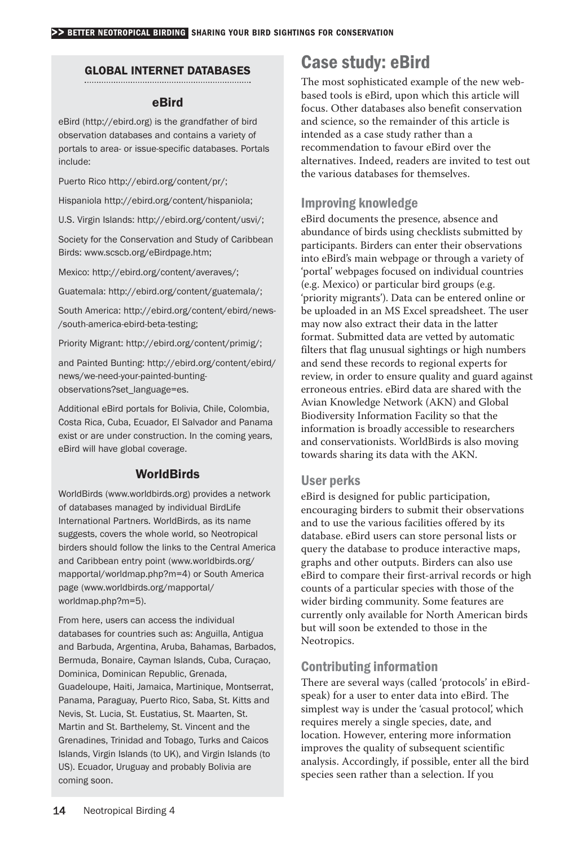## GLOBAL INTERNET DATABASES

#### eBird

eBird (http://ebird.org) is the grandfather of bird observation databases and contains a variety of portals to area- or issue-specific databases. Portals include:

Puerto Rico http://ebird.org/content/pr/;

Hispaniola http://ebird.org/content/hispaniola;

U.S. Virgin Islands: http://ebird.org/content/usvi/;

Society for the Conservation and Study of Caribbean Birds: www.scscb.org/eBirdpage.htm;

Mexico: http://ebird.org/content/averaves/;

Guatemala: http://ebird.org/content/guatemala/;

South America: http://ebird.org/content/ebird/news-/south-america-ebird-beta-testing;

Priority Migrant: http://ebird.org/content/primig/;

and Painted Bunting: http://ebird.org/content/ebird/ news/we-need-your-painted-buntingobservations?set\_language=es.

Additional eBird portals for Bolivia, Chile, Colombia, Costa Rica, Cuba, Ecuador, El Salvador and Panama exist or are under construction. In the coming years, eBird will have global coverage.

## **WorldBirds**

WorldBirds (www.worldbirds.org) provides a network of databases managed by individual BirdLife International Partners. WorldBirds, as its name suggests, covers the whole world, so Neotropical birders should follow the links to the Central America and Caribbean entry point (www.worldbirds.org/ mapportal/worldmap.php?m=4) or South America page (www.worldbirds.org/mapportal/ worldmap.php?m=5).

From here, users can access the individual databases for countries such as: Anguilla, Antigua and Barbuda, Argentina, Aruba, Bahamas, Barbados, Bermuda, Bonaire, Cayman Islands, Cuba, Curaçao, Dominica, Dominican Republic, Grenada, Guadeloupe, Haiti, Jamaica, Martinique, Montserrat, Panama, Paraguay, Puerto Rico, Saba, St. Kitts and Nevis, St. Lucia, St. Eustatius, St. Maarten, St. Martin and St. Barthelemy, St. Vincent and the Grenadines, Trinidad and Tobago, Turks and Caicos Islands, Virgin Islands (to UK), and Virgin Islands (to US). Ecuador, Uruguay and probably Bolivia are coming soon.

# Case study: eBird

The most sophisticated example of the new web based tools is eBird, upon which this article will focus. Other databases also benefit conservation and science, so the remainder of this article is intended as a case study rather than a recommendation to favour eBird over the alternatives. Indeed, readers are invited to test out the various databases for themselves.

# Improving knowledge

eBird documents the presence, absence and abundance of birds using checklists submitted by participants. Birders can enter their observations into eBird's main webpage or through a variety of 'portal' webpages focused on individual countries (e.g. Mexico) or particular bird groups (e.g. 'priority migrants'). Data can be entered online or be uploaded in an MS Excel spreadsheet. The user may now also extract their data in the latter format. Submitted data are vetted by automatic filters that flag unusual sightings or high numbers and send these records to regional experts for review, in order to ensure quality and guard against erroneous entries. eBird data are shared with the Avian Knowledge Network (AKN) and Global Biodiversity Information Facility so that the information is broadly accessible to researchers and conservationists. WorldBirds is also moving towards sharing its data with the AKN.

### User perks

eBird is designed for public participation, encouraging birders to submit their observations and to use the various facilities offered by its database. eBird users can store personal lists or query the database to produce interactive maps, graphs and other outputs. Birders can also use eBird to compare their first-arrival records or high counts of a particular species with those of the wider birding community. Some features are currently only available for North American birds but will soon be extended to those in the Neotropics.

# Contributing information

There are several ways (called 'protocols' in eBird speak) for a user to enter data into eBird. The simplest way is under the 'casual protocol', which requires merely a single species, date, and location. However, entering more information improves the quality of subsequent scientific analysis. Accordingly, if possible, enter all the bird species seen rather than a selection. If you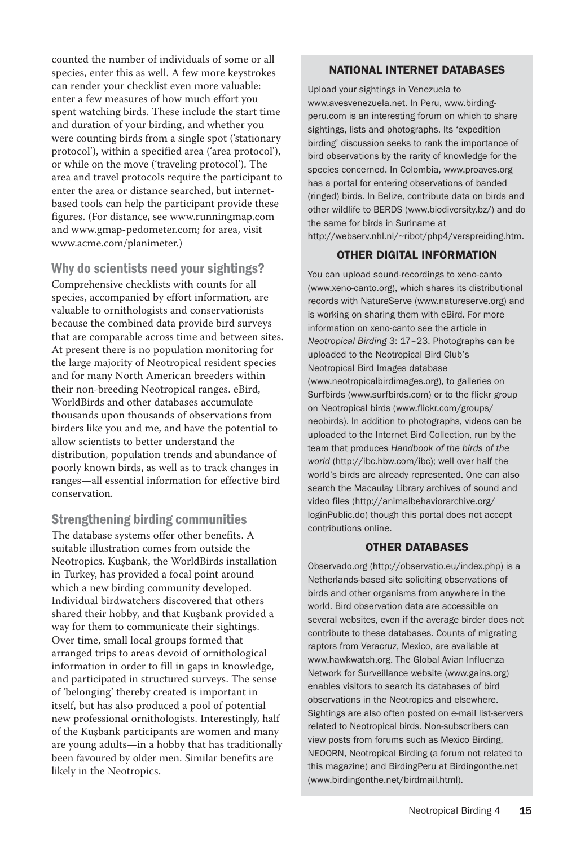counted the number of individuals of some or all species, enter this as well. A few more keystrokes can render your checklist even more valuable: enter a few measures of how much effort you spent watching birds. These include the start time and duration of your birding, and whether you were counting birds from a single spot ('stationary protocol'), within a specified area ('area protocol'), or while on the move ('traveling protocol'). The area and travel protocols require the participant to enter the area or distance searched, but internet based tools can help the participant provide these figures. (For distance, see www.runningmap.com and www. gmap- pedometer.com; for area, visit www.acme.com/planimeter.)

Why do scientists need your sightings? Comprehensive checklists with counts for all species, accompanied by effort information, are valuable to ornithologists and conservationists because the combined data provide bird surveys that are comparable across time and between sites. At present there is no population monitoring for the large majority of Neotropical resident species and for many North American breeders within their non-breeding Neotropical ranges. eBird, WorldBirds and other databases accumulate thousands upon thousands of observations from birders like you and me, and have the potential to allow scientists to better understand the distribution, population trends and abundance of poorly known birds, as well as to track changes in ranges— all essential information for effective bird conservation.

# Strengthening birding communities

The database systems offer other benefits. A suitable illustration comes from outside the Neotropics. Kuşbank, the WorldBirds installation in Turkey, has provided a focal point around which a new birding community developed. Individual birdwatchers discovered that others shared their hobby, and that Kuşbank provided a way for them to communicate their sightings. Over time, small local groups formed that arranged trips to areas devoid of ornithological information in order to fill in gaps in knowledge, and participated in structured surveys. The sense of 'belonging' thereby created is important in itself, but has also produced a pool of potential new professional ornithologists. Interestingly, half of the Kuşbank participants are women and many are young adults—in a hobby that has traditionally been favoured by older men. Similar benefits are likely in the Neotropics.

#### NATIONAL INTERNET DATABASES

Upload your sightings in Venezuela to www.avesvenezuela.net. In Peru, www. birding peru.com is an interesting forum on which to share sightings, lists and photographs. Its 'expedition birding' discussion seeks to rank the importance of bird observations by the rarity of knowledge for the species concerned. In Colombia, www.proaves.org has a portal for entering observations of banded (ringed) birds. In Belize, contribute data on birds and other wildlife to BERDS (www.biodiversity.bz/) and do the same for birds in Suriname at http://webserv.nhl.nl/~ribot/php4/verspreiding.htm.

### OTHER DIGITAL INFORMATION

You can upload sound-recordings to xeno-canto (www.xeno-canto.org), which shares its distributional records with NatureServe (www.natureserve.org) and is working on sharing them with eBird. For more information on xeno-canto see the article in *Neotropical Birding* 3: 17–23. Photographs can be uploaded to the Neotropical Bird Club's Neotropical Bird Images database (www.neotropicalbirdimages.org), to galleries on Surfbirds (www.surfbirds.com) or to the flickr group on Neotropical birds (www.flickr.com/groups/ neobirds). In addition to photographs, videos can be uploaded to the Internet Bird Collection, run by the team that produces *Handbook of the birds of the world* (http://ibc.hbw.com/ibc); well over half the world's birds are already represented. One can also search the Macaulay Library archives of sound and video files (http://animalbehaviorarchive.org/ loginPublic.do) though this portal does not accept contributions online.

#### OTHER DATABASES

Observado.org (http://observatio.eu/index.php) is a Netherlands-based site soliciting observations of birds and other organisms from anywhere in the world. Bird observation data are accessible on several websites, even if the average birder does not contribute to these databases. Counts of migrating raptors from Veracruz, Mexico, are available at www.hawkwatch.org. The Global Avian Influenza Network for Surveillance website (www.gains.org) enables visitors to search its databases of bird observations in the Neotropics and elsewhere. Sightings are also often posted on e-mail list-servers related to Neotropical birds. Non-subscribers can view posts from forums such as Mexico Birding, NEOORN, Neotropical Birding (a forum not related to this magazine) and BirdingPeru at Birdingonthe.net (www.birdingonthe.net/birdmail.html).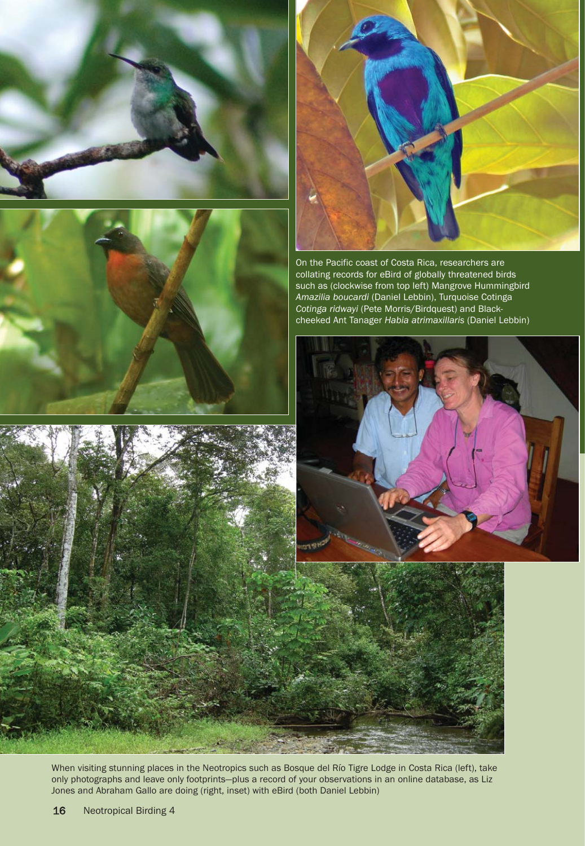







On the Pacific coast of Costa Rica, researchers are collating records for eBird of globally threatened birds such as (clockwise from top left) Mangrove Hummingbird *Amazilia boucardi* (Daniel Lebbin), Turquoise Cotinga *Cotinga ridwayi* (Pete Morris/Birdquest) and Black cheeked Ant Tanager *Habia atrimaxillaris* (Daniel Lebbin)





When visiting stunning places in the Neotropics such as Bosque del Río Tigre Lodge in Costa Rica (left), take only photographs and leave only footprints—plus a record of your observations in an online database, as Liz Jones and Abraham Gallo are doing (right, inset) with eBird (both Daniel Lebbin)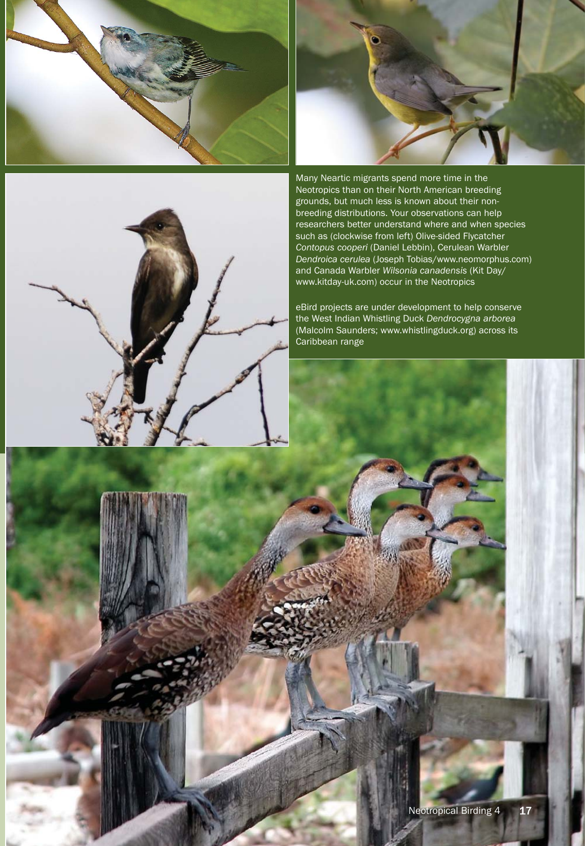





Many Neartic migrants spend more time in the Neotropics than on their North American breeding grounds, but much less is known about their non breeding distributions. Your observations can help researchers better understand where and when species such as (clockwise from left) Olive-sided Flycatcher *Contopus cooperi* (Daniel Lebbin), Cerulean Warbler *Dendroica cerulea* (Joseph Tobias/www.neomorphus.com) and Canada Warbler *Wilsonia canadensis* (Kit Day/ www.kitday-uk.com) occur in the Neotropics

eBird projects are under development to help conserve the West Indian Whistling Duck *Dendrocygna arborea* (Malcolm Saunders; www.whistlingduck.org) across its Caribbean range